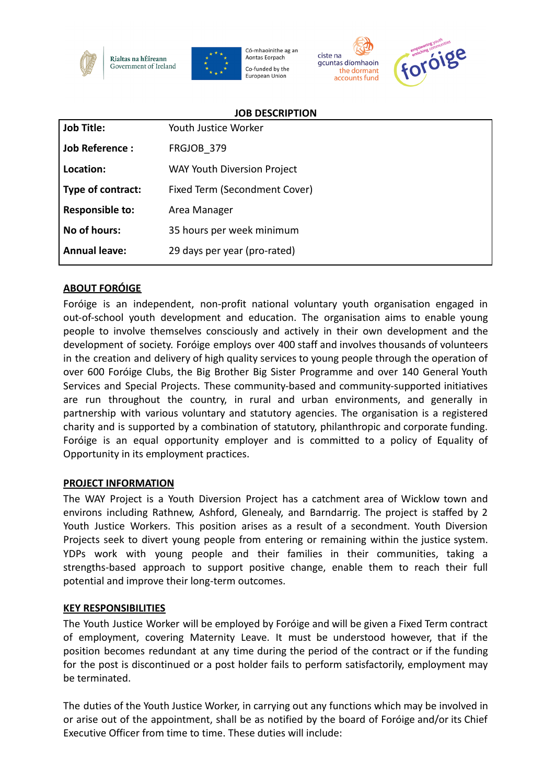

Rialtas na hÉireann Government of Ireland







### **JOB DESCRIPTION**

| <b>Job Title:</b><br>Youth Justice Worker            |  |
|------------------------------------------------------|--|
| <b>Job Reference:</b><br>FRGJOB 379                  |  |
| Location:<br><b>WAY Youth Diversion Project</b>      |  |
| Type of contract:<br>Fixed Term (Secondment Cover)   |  |
| <b>Responsible to:</b><br>Area Manager               |  |
| No of hours:<br>35 hours per week minimum            |  |
| <b>Annual leave:</b><br>29 days per year (pro-rated) |  |

## **ABOUT FORÓIGE**

Foróige is an independent, non-profit national voluntary youth organisation engaged in out-of-school youth development and education. The organisation aims to enable young people to involve themselves consciously and actively in their own development and the development of society. Foróige employs over 400 staff and involves thousands of volunteers in the creation and delivery of high quality services to young people through the operation of over 600 Foróige Clubs, the Big Brother Big Sister Programme and over 140 General Youth Services and Special Projects. These community-based and community-supported initiatives are run throughout the country, in rural and urban environments, and generally in partnership with various voluntary and statutory agencies. The organisation is a registered charity and is supported by a combination of statutory, philanthropic and corporate funding. Foróige is an equal opportunity employer and is committed to a policy of Equality of Opportunity in its employment practices.

#### **PROJECT INFORMATION**

The WAY Project is a Youth Diversion Project has a catchment area of Wicklow town and environs including Rathnew, Ashford, Glenealy, and Barndarrig. The project is staffed by 2 Youth Justice Workers. This position arises as a result of a secondment. Youth Diversion Projects seek to divert young people from entering or remaining within the justice system. YDPs work with young people and their families in their communities, taking a strengths-based approach to support positive change, enable them to reach their full potential and improve their long-term outcomes.

### **KEY RESPONSIBILITIES**

The Youth Justice Worker will be employed by Foróige and will be given a Fixed Term contract of employment, covering Maternity Leave. It must be understood however, that if the position becomes redundant at any time during the period of the contract or if the funding for the post is discontinued or a post holder fails to perform satisfactorily, employment may be terminated.

The duties of the Youth Justice Worker, in carrying out any functions which may be involved in or arise out of the appointment, shall be as notified by the board of Foróige and/or its Chief Executive Officer from time to time. These duties will include: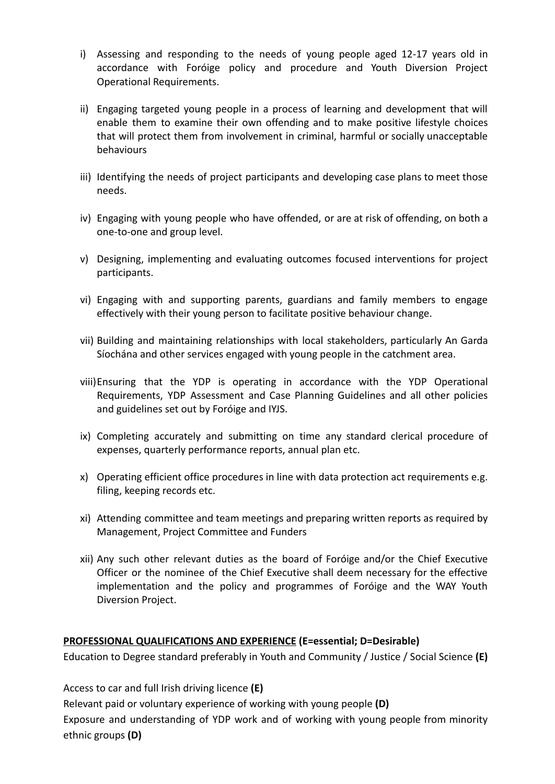- i) Assessing and responding to the needs of young people aged 12-17 years old in accordance with Foróige policy and procedure and Youth Diversion Project Operational Requirements.
- ii) Engaging targeted young people in a process of learning and development that will enable them to examine their own offending and to make positive lifestyle choices that will protect them from involvement in criminal, harmful or socially unacceptable behaviours
- iii) Identifying the needs of project participants and developing case plans to meet those needs.
- iv) Engaging with young people who have offended, or are at risk of offending, on both a one-to-one and group level.
- v) Designing, implementing and evaluating outcomes focused interventions for project participants.
- vi) Engaging with and supporting parents, guardians and family members to engage effectively with their young person to facilitate positive behaviour change.
- vii) Building and maintaining relationships with local stakeholders, particularly An Garda Síochána and other services engaged with young people in the catchment area.
- viii)Ensuring that the YDP is operating in accordance with the YDP Operational Requirements, YDP Assessment and Case Planning Guidelines and all other policies and guidelines set out by Foróige and IYJS.
- ix) Completing accurately and submitting on time any standard clerical procedure of expenses, quarterly performance reports, annual plan etc.
- x) Operating efficient office procedures in line with data protection act requirements e.g. filing, keeping records etc.
- xi) Attending committee and team meetings and preparing written reports as required by Management, Project Committee and Funders
- xii) Any such other relevant duties as the board of Foróige and/or the Chief Executive Officer or the nominee of the Chief Executive shall deem necessary for the effective implementation and the policy and programmes of Foróige and the WAY Youth Diversion Project.

### **PROFESSIONAL QUALIFICATIONS AND EXPERIENCE (E=essential; D=Desirable)**

Education to Degree standard preferably in Youth and Community / Justice / Social Science **(E)**

Access to car and full Irish driving licence **(E)** Relevant paid or voluntary experience of working with young people **(D)** Exposure and understanding of YDP work and of working with young people from minority ethnic groups **(D)**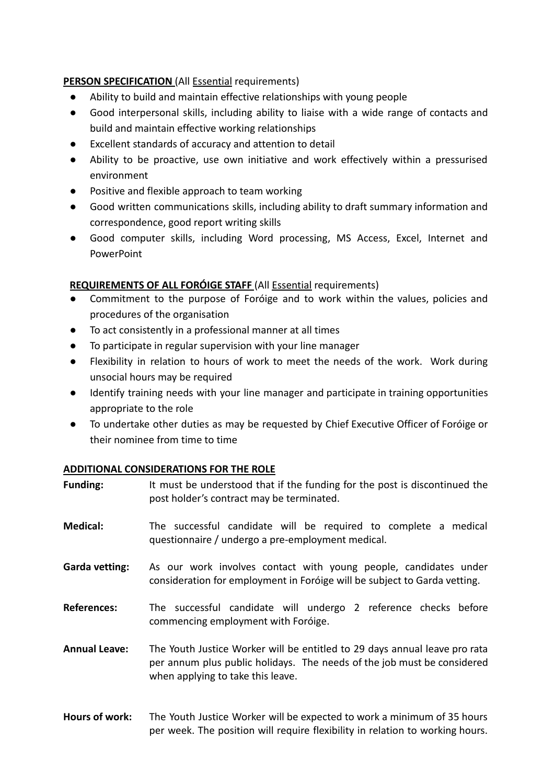# **PERSON SPECIFICATION** (All Essential requirements)

- Ability to build and maintain effective relationships with young people
- Good interpersonal skills, including ability to liaise with a wide range of contacts and build and maintain effective working relationships
- Excellent standards of accuracy and attention to detail
- Ability to be proactive, use own initiative and work effectively within a pressurised environment
- Positive and flexible approach to team working
- Good written communications skills, including ability to draft summary information and correspondence, good report writing skills
- Good computer skills, including Word processing, MS Access, Excel, Internet and PowerPoint

## **REQUIREMENTS OF ALL FORÓIGE STAFF** (All Essential requirements)

- Commitment to the purpose of Foróige and to work within the values, policies and procedures of the organisation
- To act consistently in a professional manner at all times
- To participate in regular supervision with your line manager
- Flexibility in relation to hours of work to meet the needs of the work. Work during unsocial hours may be required
- Identify training needs with your line manager and participate in training opportunities appropriate to the role
- To undertake other duties as may be requested by Chief Executive Officer of Foróige or their nominee from time to time

## **ADDITIONAL CONSIDERATIONS FOR THE ROLE**

| Funding:              | It must be understood that if the funding for the post is discontinued the<br>post holder's contract may be terminated.                                                                    |
|-----------------------|--------------------------------------------------------------------------------------------------------------------------------------------------------------------------------------------|
| <b>Medical:</b>       | The successful candidate will be required to complete a medical<br>questionnaire / undergo a pre-employment medical.                                                                       |
| <b>Garda vetting:</b> | As our work involves contact with young people, candidates under<br>consideration for employment in Foróige will be subject to Garda vetting.                                              |
| <b>References:</b>    | The successful candidate will undergo 2 reference checks before<br>commencing employment with Foróige.                                                                                     |
| <b>Annual Leave:</b>  | The Youth Justice Worker will be entitled to 29 days annual leave pro rata<br>per annum plus public holidays. The needs of the job must be considered<br>when applying to take this leave. |
| Hours of work:        | The Youth Justice Worker will be expected to work a minimum of 35 hours<br>per week. The position will require flexibility in relation to working hours.                                   |